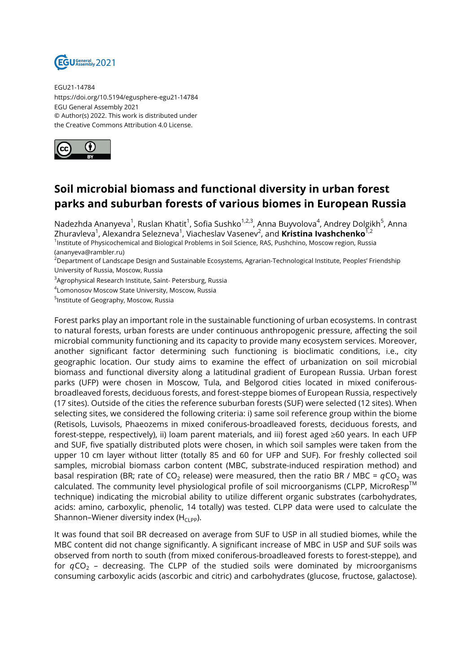

EGU21-14784 https://doi.org/10.5194/egusphere-egu21-14784 EGU General Assembly 2021 © Author(s) 2022. This work is distributed under the Creative Commons Attribution 4.0 License.



## **Soil microbial biomass and functional diversity in urban forest parks and suburban forests of various biomes in European Russia**

Nadezhda Ananyeva<sup>1</sup>, Ruslan Khatit<sup>1</sup>, Sofia Sushko<sup>1,2,3</sup>, Anna Buyvolova<sup>4</sup>, Andrey Dolgikh<sup>5</sup>, Anna Zhuravleva<sup>1</sup>, Alexandra Selezneva<sup>1</sup>, Viacheslav Vasenev<sup>2</sup>, and **Kristina Ivashchenko**<sup>1,2</sup> 1 Institute of Physicochemical and Biological Problems in Soil Science, RAS, Pushchino, Moscow region, Russia

(ananyeva@rambler.ru)

<sup>2</sup>Department of Landscape Design and Sustainable Ecosystems, Agrarian-Technological Institute, Peoples' Friendship University of Russia, Moscow, Russia

<sup>3</sup>Agrophysical Research Institute, Saint- Petersburg, Russia

4 Lomonosov Moscow State University, Moscow, Russia

5 Institute of Geography, Moscow, Russia

Forest parks play an important role in the sustainable functioning of urban ecosystems. In contrast to natural forests, urban forests are under continuous anthropogenic pressure, affecting the soil microbial community functioning and its capacity to provide many ecosystem services. Moreover, another significant factor determining such functioning is bioclimatic conditions, i.e., city geographic location. Our study aims to examine the effect of urbanization on soil microbial biomass and functional diversity along a latitudinal gradient of European Russia. Urban forest parks (UFP) were chosen in Moscow, Tula, and Belgorod cities located in mixed coniferousbroadleaved forests, deciduous forests, and forest-steppe biomes of European Russia, respectively (17 sites). Outside of the cities the reference suburban forests (SUF) were selected (12 sites). When selecting sites, we considered the following criteria: i) same soil reference group within the biome (Retisols, Luvisols, Phaeozems in mixed coniferous-broadleaved forests, deciduous forests, and forest-steppe, respectively), ii) loam parent materials, and iii) forest aged ≥60 years. In each UFP and SUF, five spatially distributed plots were chosen, in which soil samples were taken from the upper 10 cm layer without litter (totally 85 and 60 for UFP and SUF). For freshly collected soil samples, microbial biomass carbon content (MBC, substrate-induced respiration method) and basal respiration (BR; rate of CO<sub>2</sub> release) were measured, then the ratio BR / MBC =  $qCO<sub>2</sub>$  was calculated. The community level physiological profile of soil microorganisms (CLPP, MicroResp™ technique) indicating the microbial ability to utilize different organic substrates (carbohydrates, acids: amino, carboxylic, phenolic, 14 totally) was tested. CLPP data were used to calculate the Shannon–Wiener diversity index ( $H_{CLPP}$ ).

It was found that soil BR decreased on average from SUF to USP in all studied biomes, while the MBC content did not change significantly. A significant increase of MBC in USP and SUF soils was observed from north to south (from mixed coniferous-broadleaved forests to forest-steppe), and for  $qCO<sub>2</sub>$  – decreasing. The CLPP of the studied soils were dominated by microorganisms consuming carboxylic acids (ascorbic and citric) and carbohydrates (glucose, fructose, galactose).